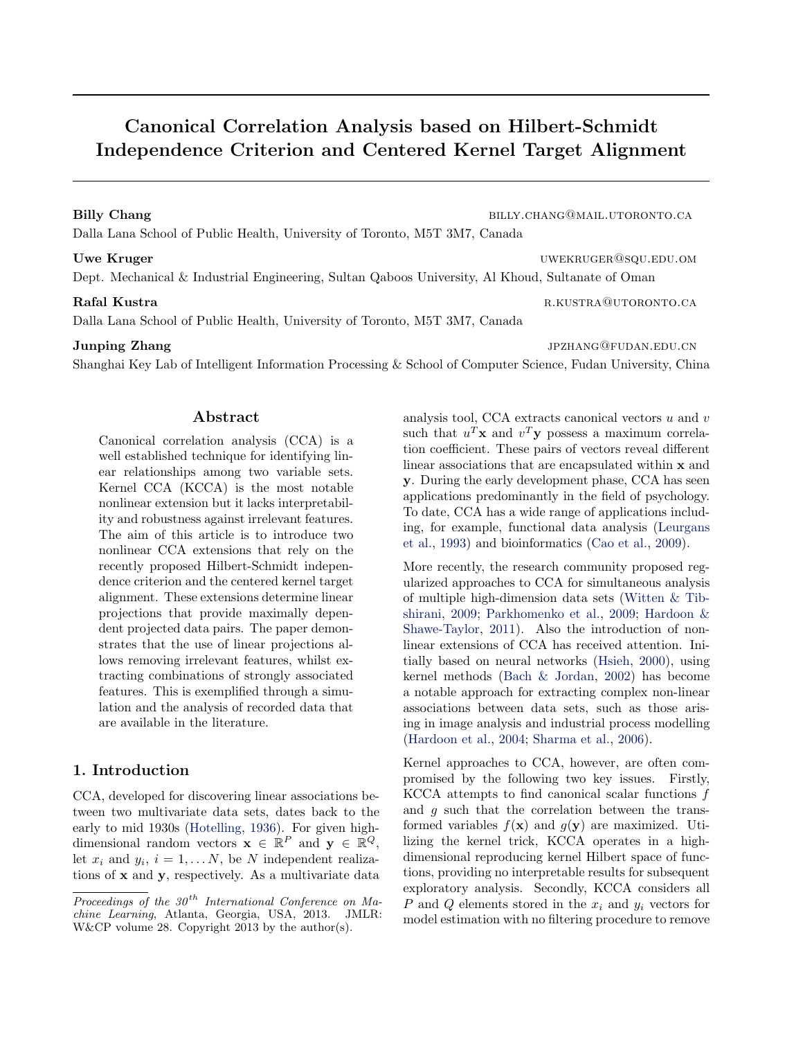# Canonical Correlation Analysis based on Hilbert-Schmidt Independence Criterion and Centered Kernel Target Alignment

Billy Chang billy Chang billy.chang@mail.utoronto.ca

Dalla Lana School of Public Health, University of Toronto, M5T 3M7, Canada

# Uwe Kruger uwekruger under the control of the UWEKRUGER COUNTER UNDER UNDER UNDER UNDER A LIMIT ON THE COUNTER OF THE COUNTER OF THE COUNTER OF THE COUNTER OF THE COUNTER OF THE COUNTER OF THE COUNTER OF THE COUNTER OF THE

Dept. Mechanical & Industrial Engineering, Sultan Qaboos University, Al Khoud, Sultanate of Oman

Dalla Lana School of Public Health, University of Toronto, M5T 3M7, Canada

# **Junping Zhang jpang zhang** jpang ang sang sa sa ang sang sa panganggalang sa panganggalan. Edu.cn

Shanghai Key Lab of Intelligent Information Processing & School of Computer Science, Fudan University, China

## Abstract

Canonical correlation analysis (CCA) is a well established technique for identifying linear relationships among two variable sets. Kernel CCA (KCCA) is the most notable nonlinear extension but it lacks interpretability and robustness against irrelevant features. The aim of this article is to introduce two nonlinear CCA extensions that rely on the recently proposed Hilbert-Schmidt independence criterion and the centered kernel target alignment. These extensions determine linear projections that provide maximally dependent projected data pairs. The paper demonstrates that the use of linear projections allows removing irrelevant features, whilst extracting combinations of strongly associated features. This is exemplified through a simulation and the analysis of recorded data that are available in the literature.

# 1. Introduction

CCA, developed for discovering linear associations between two multivariate data sets, dates back to the early to mid 1930s [\(Hotelling,](#page-8-0) [1936\)](#page-8-0). For given highdimensional random vectors  $\mathbf{x} \in \mathbb{R}^P$  and  $\mathbf{y} \in \mathbb{R}^Q$ , let  $x_i$  and  $y_i$ ,  $i = 1, \ldots N$ , be N independent realizations of x and y, respectively. As a multivariate data analysis tool, CCA extracts canonical vectors  $u$  and  $v$ such that  $u^T$ **x** and  $v^T$ **y** possess a maximum correlation coefficient. These pairs of vectors reveal different linear associations that are encapsulated within x and y. During the early development phase, CCA has seen applications predominantly in the field of psychology. To date, CCA has a wide range of applications including, for example, functional data analysis [\(Leurgans](#page-8-0) [et al.,](#page-8-0) [1993\)](#page-8-0) and bioinformatics [\(Cao et al.,](#page-8-0) [2009\)](#page-8-0).

More recently, the research community proposed regularized approaches to CCA for simultaneous analysis of multiple high-dimension data sets [\(Witten & Tib](#page-8-0)[shirani,](#page-8-0) [2009;](#page-8-0) [Parkhomenko et al.,](#page-8-0) [2009;](#page-8-0) [Hardoon &](#page-8-0) [Shawe-Taylor,](#page-8-0) [2011\)](#page-8-0). Also the introduction of nonlinear extensions of CCA has received attention. Initially based on neural networks [\(Hsieh,](#page-8-0) [2000\)](#page-8-0), using kernel methods [\(Bach & Jordan,](#page-7-0) [2002\)](#page-7-0) has become a notable approach for extracting complex non-linear associations between data sets, such as those arising in image analysis and industrial process modelling [\(Hardoon et al.,](#page-8-0) [2004;](#page-8-0) [Sharma et al.,](#page-8-0) [2006\)](#page-8-0).

Kernel approaches to CCA, however, are often compromised by the following two key issues. Firstly, KCCA attempts to find canonical scalar functions  $f$ and g such that the correlation between the transformed variables  $f(\mathbf{x})$  and  $g(\mathbf{y})$  are maximized. Utilizing the kernel trick, KCCA operates in a highdimensional reproducing kernel Hilbert space of functions, providing no interpretable results for subsequent exploratory analysis. Secondly, KCCA considers all P and Q elements stored in the  $x_i$  and  $y_i$  vectors for model estimation with no filtering procedure to remove

Rafal Kustra r.kustra r.kustra r.kustra r.kustra r.kustra r.kustra r.kustra r.kustra r.kustra r.kustra r.kustra r

Proceedings of the  $30<sup>th</sup>$  International Conference on Machine Learning, Atlanta, Georgia, USA, 2013. JMLR: W&CP volume 28. Copyright 2013 by the author(s).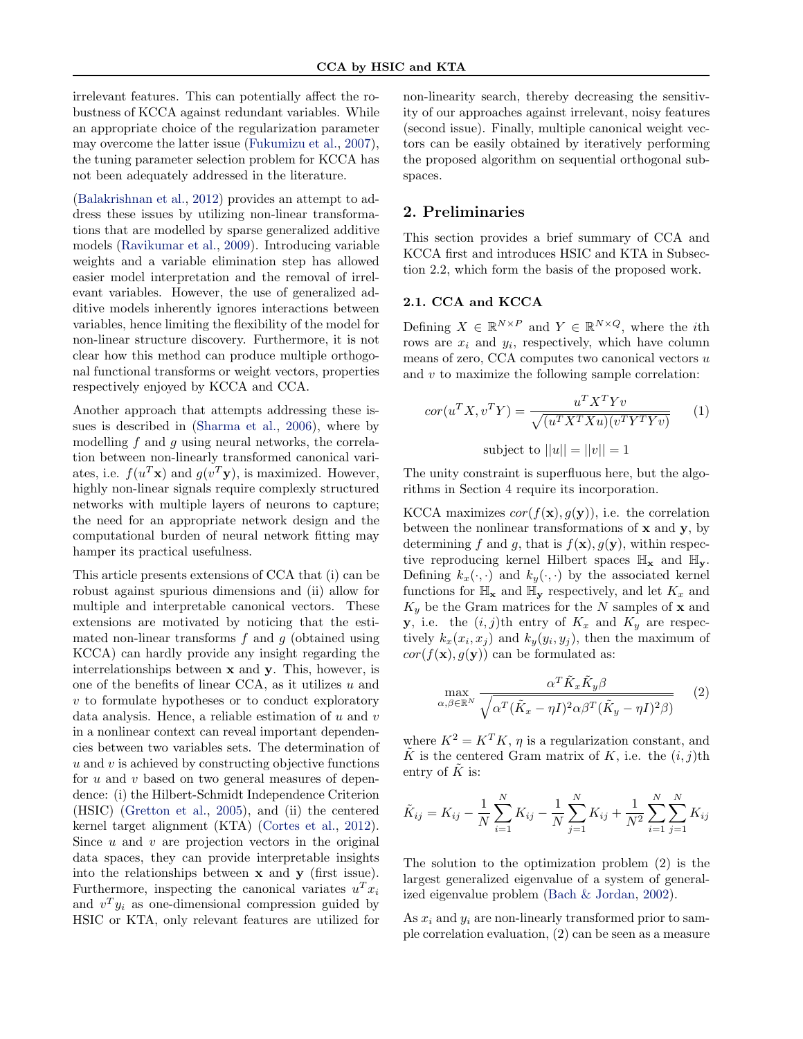irrelevant features. This can potentially affect the robustness of KCCA against redundant variables. While an appropriate choice of the regularization parameter may overcome the latter issue [\(Fukumizu et al.,](#page-8-0) [2007\)](#page-8-0), the tuning parameter selection problem for KCCA has not been adequately addressed in the literature.

[\(Balakrishnan et al.,](#page-8-0) [2012\)](#page-8-0) provides an attempt to address these issues by utilizing non-linear transformations that are modelled by sparse generalized additive models [\(Ravikumar et al.,](#page-8-0) [2009\)](#page-8-0). Introducing variable weights and a variable elimination step has allowed easier model interpretation and the removal of irrelevant variables. However, the use of generalized additive models inherently ignores interactions between variables, hence limiting the flexibility of the model for non-linear structure discovery. Furthermore, it is not clear how this method can produce multiple orthogonal functional transforms or weight vectors, properties respectively enjoyed by KCCA and CCA.

Another approach that attempts addressing these issues is described in [\(Sharma et al.,](#page-8-0) [2006\)](#page-8-0), where by modelling f and q using neural networks, the correlation between non-linearly transformed canonical variates, i.e.  $f(u^T \mathbf{x})$  and  $g(v^T \mathbf{y})$ , is maximized. However, highly non-linear signals require complexly structured networks with multiple layers of neurons to capture; the need for an appropriate network design and the computational burden of neural network fitting may hamper its practical usefulness.

This article presents extensions of CCA that (i) can be robust against spurious dimensions and (ii) allow for multiple and interpretable canonical vectors. These extensions are motivated by noticing that the estimated non-linear transforms  $f$  and  $g$  (obtained using KCCA) can hardly provide any insight regarding the interrelationships between x and y. This, however, is one of the benefits of linear CCA, as it utilizes u and  $v$  to formulate hypotheses or to conduct exploratory data analysis. Hence, a reliable estimation of  $u$  and  $v$ in a nonlinear context can reveal important dependencies between two variables sets. The determination of  $u$  and  $v$  is achieved by constructing objective functions for  $u$  and  $v$  based on two general measures of dependence: (i) the Hilbert-Schmidt Independence Criterion (HSIC) [\(Gretton et al.,](#page-8-0) [2005\)](#page-8-0), and (ii) the centered kernel target alignment (KTA) [\(Cortes et al.,](#page-8-0) [2012\)](#page-8-0). Since  $u$  and  $v$  are projection vectors in the original data spaces, they can provide interpretable insights into the relationships between  $x$  and  $y$  (first issue). Furthermore, inspecting the canonical variates  $u^T x_i$ and  $v^T y_i$  as one-dimensional compression guided by HSIC or KTA, only relevant features are utilized for

non-linearity search, thereby decreasing the sensitivity of our approaches against irrelevant, noisy features (second issue). Finally, multiple canonical weight vectors can be easily obtained by iteratively performing the proposed algorithm on sequential orthogonal subspaces.

#### 2. Preliminaries

This section provides a brief summary of CCA and KCCA first and introduces HSIC and KTA in Subsection 2.2, which form the basis of the proposed work.

# 2.1. CCA and KCCA

Defining  $X \in \mathbb{R}^{N \times P}$  and  $Y \in \mathbb{R}^{N \times Q}$ , where the *i*th rows are  $x_i$  and  $y_i$ , respectively, which have column means of zero, CCA computes two canonical vectors  $u$ and v to maximize the following sample correlation:

$$
cor(u^T X, v^T Y) = \frac{u^T X^T Y v}{\sqrt{(u^T X^T X u)(v^T Y^T Y v)}}
$$
(1)  
subject to ||u|| = ||v|| = 1

The unity constraint is superfluous here, but the algorithms in Section 4 require its incorporation.

KCCA maximizes  $cor(f(\mathbf{x}), g(\mathbf{y}))$ , i.e. the correlation between the nonlinear transformations of  $x$  and  $y$ , by determining f and g, that is  $f(\mathbf{x}), g(\mathbf{y})$ , within respective reproducing kernel Hilbert spaces  $\mathbb{H}_{\mathbf{x}}$  and  $\mathbb{H}_{\mathbf{y}}$ . Defining  $k_x(\cdot, \cdot)$  and  $k_y(\cdot, \cdot)$  by the associated kernel functions for  $\mathbb{H}_{\mathbf{x}}$  and  $\mathbb{H}_{\mathbf{y}}$  respectively, and let  $K_x$  and  $K_y$  be the Gram matrices for the N samples of **x** and **y**, i.e. the  $(i, j)$ th entry of  $K_x$  and  $K_y$  are respectively  $k_x(x_i, x_j)$  and  $k_y(y_i, y_j)$ , then the maximum of  $cor(f(\mathbf{x}), g(\mathbf{y}))$  can be formulated as:

$$
\max_{\alpha,\beta \in \mathbb{R}^N} \frac{\alpha^T \tilde{K}_x \tilde{K}_y \beta}{\sqrt{\alpha^T (\tilde{K}_x - \eta I)^2 \alpha \beta^T (\tilde{K}_y - \eta I)^2 \beta)}} \qquad (2)
$$

where  $K^2 = K^T K$ ,  $\eta$  is a regularization constant, and  $\tilde{K}$  is the centered Gram matrix of K, i.e. the  $(i, j)$ th entry of  $K$  is:

$$
\tilde{K}_{ij} = K_{ij} - \frac{1}{N} \sum_{i=1}^{N} K_{ij} - \frac{1}{N} \sum_{j=1}^{N} K_{ij} + \frac{1}{N^2} \sum_{i=1}^{N} \sum_{j=1}^{N} K_{ij}
$$

The solution to the optimization problem (2) is the largest generalized eigenvalue of a system of generalized eigenvalue problem [\(Bach & Jordan,](#page-7-0) [2002\)](#page-7-0).

As  $x_i$  and  $y_i$  are non-linearly transformed prior to sample correlation evaluation, (2) can be seen as a measure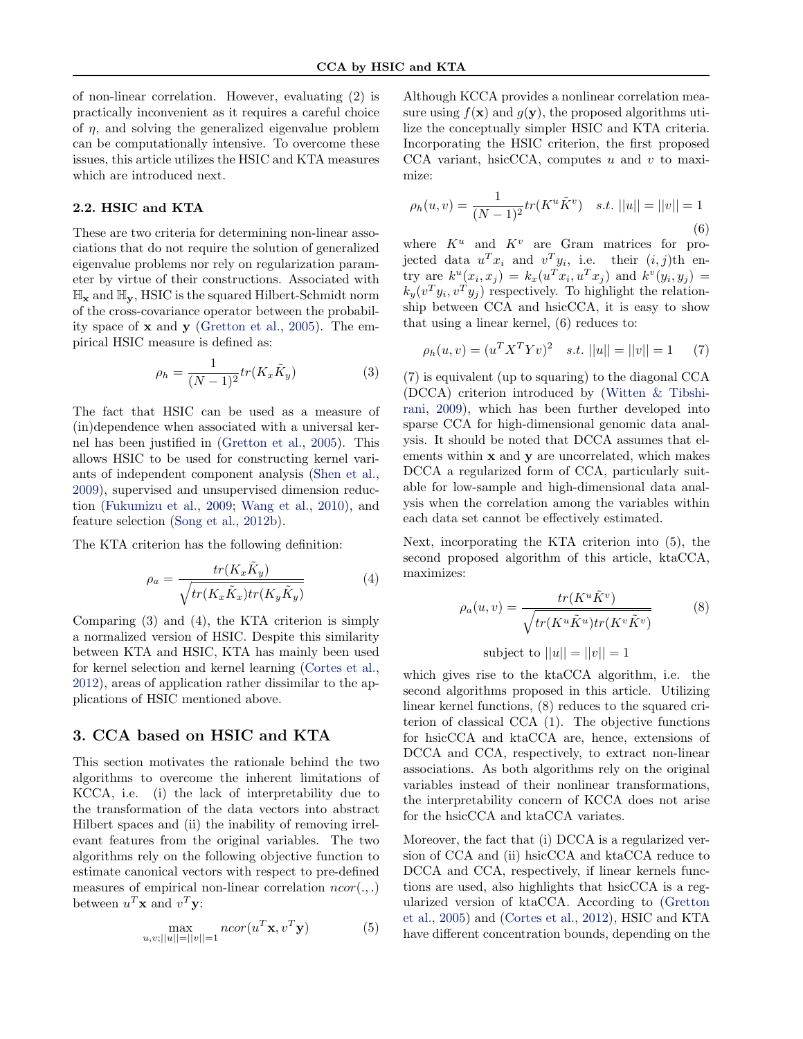of non-linear correlation. However, evaluating (2) is practically inconvenient as it requires a careful choice of  $\eta$ , and solving the generalized eigenvalue problem can be computationally intensive. To overcome these issues, this article utilizes the HSIC and KTA measures which are introduced next.

# 2.2. HSIC and KTA

These are two criteria for determining non-linear associations that do not require the solution of generalized eigenvalue problems nor rely on regularization parameter by virtue of their constructions. Associated with  $\mathbb{H}_{\mathbf{x}}$  and  $\mathbb{H}_{\mathbf{y}}$ , HSIC is the squared Hilbert-Schmidt norm of the cross-covariance operator between the probability space of  $x$  and  $y$  [\(Gretton et al.,](#page-8-0) [2005\)](#page-8-0). The empirical HSIC measure is defined as:

$$
\rho_h = \frac{1}{(N-1)^2} tr(K_x \tilde{K}_y)
$$
\n(3)

The fact that HSIC can be used as a measure of (in)dependence when associated with a universal kernel has been justified in [\(Gretton et al.,](#page-8-0) [2005\)](#page-8-0). This allows HSIC to be used for constructing kernel variants of independent component analysis [\(Shen et al.,](#page-8-0) [2009\)](#page-8-0), supervised and unsupervised dimension reduction [\(Fukumizu et al.,](#page-8-0) [2009;](#page-8-0) [Wang et al.,](#page-8-0) [2010\)](#page-8-0), and feature selection [\(Song et al.,](#page-8-0) [2012b\)](#page-8-0).

The KTA criterion has the following definition:

$$
\rho_a = \frac{tr(K_x \tilde{K}_y)}{\sqrt{tr(K_x \tilde{K}_x) tr(K_y \tilde{K}_y)}}
$$
(4)

Comparing (3) and (4), the KTA criterion is simply a normalized version of HSIC. Despite this similarity between KTA and HSIC, KTA has mainly been used for kernel selection and kernel learning [\(Cortes et al.,](#page-8-0) [2012\)](#page-8-0), areas of application rather dissimilar to the applications of HSIC mentioned above.

# 3. CCA based on HSIC and KTA

This section motivates the rationale behind the two algorithms to overcome the inherent limitations of KCCA, i.e. (i) the lack of interpretability due to the transformation of the data vectors into abstract Hilbert spaces and (ii) the inability of removing irrelevant features from the original variables. The two algorithms rely on the following objective function to estimate canonical vectors with respect to pre-defined measures of empirical non-linear correlation  $ncor(.,.)$ between  $u^T \mathbf{x}$  and  $v^T \mathbf{y}$ :

$$
\max_{u,v;||u||=||v||=1} ncor(u^T \mathbf{x}, v^T \mathbf{y})
$$
(5)

Although KCCA provides a nonlinear correlation measure using  $f(\mathbf{x})$  and  $g(\mathbf{y})$ , the proposed algorithms utilize the conceptually simpler HSIC and KTA criteria. Incorporating the HSIC criterion, the first proposed CCA variant, hsicCCA, computes  $u$  and  $v$  to maximize:

$$
\rho_h(u, v) = \frac{1}{(N-1)^2} tr(K^u \tilde{K}^v) \quad s.t. \ ||u|| = ||v|| = 1
$$
\n(6)

where  $K^u$  and  $K^v$  are Gram matrices for projected data  $u^T x_i$  and  $v^T y_i$ , i.e. their  $(i, j)$ th entry are  $k^u(x_i, x_j) = k_x(u^T x_i, u^T x_j)$  and  $k^v(y_i, y_j) =$  $k_y(v^Ty_i, v^Ty_j)$  respectively. To highlight the relationship between CCA and hsicCCA, it is easy to show that using a linear kernel, (6) reduces to:

$$
\rho_h(u, v) = (u^T X^T Y v)^2 \quad s.t. \ ||u|| = ||v|| = 1 \tag{7}
$$

(7) is equivalent (up to squaring) to the diagonal CCA (DCCA) criterion introduced by [\(Witten & Tibshi](#page-8-0)[rani,](#page-8-0) [2009\)](#page-8-0), which has been further developed into sparse CCA for high-dimensional genomic data analysis. It should be noted that DCCA assumes that elements within x and y are uncorrelated, which makes DCCA a regularized form of CCA, particularly suitable for low-sample and high-dimensional data analysis when the correlation among the variables within each data set cannot be effectively estimated.

Next, incorporating the KTA criterion into (5), the second proposed algorithm of this article, ktaCCA, maximizes:

$$
\rho_a(u, v) = \frac{tr(K^u \tilde{K}^v)}{\sqrt{tr(K^u \tilde{K}^u)tr(K^v \tilde{K}^v)}}
$$
(8)  
subject to  $||u|| = ||v|| = 1$ 

which gives rise to the ktaCCA algorithm, i.e. the second algorithms proposed in this article. Utilizing linear kernel functions, (8) reduces to the squared criterion of classical CCA (1). The objective functions for hsicCCA and ktaCCA are, hence, extensions of DCCA and CCA, respectively, to extract non-linear associations. As both algorithms rely on the original variables instead of their nonlinear transformations, the interpretability concern of KCCA does not arise for the hsicCCA and ktaCCA variates.

Moreover, the fact that (i) DCCA is a regularized version of CCA and (ii) hsicCCA and ktaCCA reduce to DCCA and CCA, respectively, if linear kernels functions are used, also highlights that hsicCCA is a regularized version of ktaCCA. According to [\(Gretton](#page-8-0) [et al.,](#page-8-0) [2005\)](#page-8-0) and [\(Cortes et al.,](#page-8-0) [2012\)](#page-8-0), HSIC and KTA have different concentration bounds, depending on the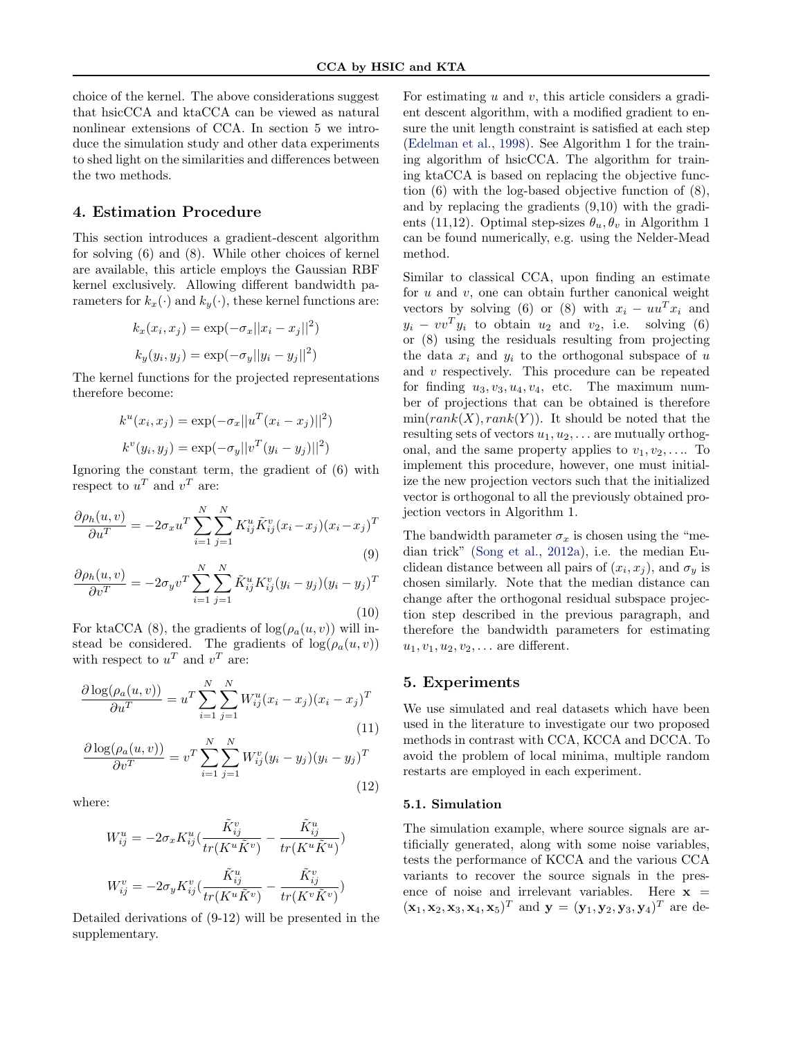choice of the kernel. The above considerations suggest that hsicCCA and ktaCCA can be viewed as natural nonlinear extensions of CCA. In section 5 we introduce the simulation study and other data experiments to shed light on the similarities and differences between the two methods.

# 4. Estimation Procedure

This section introduces a gradient-descent algorithm for solving (6) and (8). While other choices of kernel are available, this article employs the Gaussian RBF kernel exclusively. Allowing different bandwidth parameters for  $k_x(\cdot)$  and  $k_y(\cdot)$ , these kernel functions are:

$$
k_x(x_i, x_j) = \exp(-\sigma_x ||x_i - x_j||^2)
$$
  

$$
k_y(y_i, y_j) = \exp(-\sigma_y ||y_i - y_j||^2)
$$

The kernel functions for the projected representations therefore become:

$$
k^{u}(x_{i}, x_{j}) = \exp(-\sigma_{x}||u^{T}(x_{i} - x_{j})||^{2})
$$

$$
k^{v}(y_{i}, y_{j}) = \exp(-\sigma_{y}||v^{T}(y_{i} - y_{j})||^{2})
$$

Ignoring the constant term, the gradient of (6) with respect to  $u^T$  and  $v^T$  are:

$$
\frac{\partial \rho_h(u,v)}{\partial u^T} = -2\sigma_x u^T \sum_{i=1}^N \sum_{j=1}^N K_{ij}^u \tilde{K}_{ij}^v (x_i - x_j)(x_i - x_j)^T
$$
\n(9)

$$
\frac{\partial \rho_h(u, v)}{\partial v^T} = -2\sigma_y v^T \sum_{i=1}^N \sum_{j=1}^N \tilde{K}_{ij}^u K_{ij}^v (y_i - y_j)(y_i - y_j)^T
$$
\n(10)

For ktaCCA (8), the gradients of  $log(\rho_a(u, v))$  will instead be considered. The gradients of  $log(\rho_a(u, v))$ with respect to  $u^T$  and  $v^T$  are:

$$
\frac{\partial \log(\rho_a(u,v))}{\partial u^T} = u^T \sum_{i=1}^N \sum_{j=1}^N W_{ij}^u (x_i - x_j)(x_i - x_j)^T
$$
\n(11)

$$
\frac{\partial \log(\rho_a(u, v))}{\partial v^T} = v^T \sum_{i=1}^N \sum_{j=1}^N W_{ij}^v (y_i - y_j)(y_i - y_j)^T
$$
\n(12)

where:

$$
W_{ij}^u = -2\sigma_x K_{ij}^u \left(\frac{\tilde{K}_{ij}^v}{tr(K^u \tilde{K}^v)} - \frac{\tilde{K}_{ij}^u}{tr(K^u \tilde{K}^u)}\right)
$$
  

$$
W_{ij}^v = -2\sigma_y K_{ij}^v \left(\frac{\tilde{K}_{ij}^u}{tr(K^u \tilde{K}^v)} - \frac{\tilde{K}_{ij}^v}{tr(K^v \tilde{K}^v)}\right)
$$

Detailed derivations of (9-12) will be presented in the supplementary.

For estimating  $u$  and  $v$ , this article considers a gradient descent algorithm, with a modified gradient to ensure the unit length constraint is satisfied at each step [\(Edelman et al.,](#page-8-0) [1998\)](#page-8-0). See Algorithm 1 for the training algorithm of hsicCCA. The algorithm for training ktaCCA is based on replacing the objective function (6) with the log-based objective function of (8), and by replacing the gradients (9,10) with the gradients (11,12). Optimal step-sizes  $\theta_u, \theta_v$  in Algorithm 1 can be found numerically, e.g. using the Nelder-Mead method.

Similar to classical CCA, upon finding an estimate for  $u$  and  $v$ , one can obtain further canonical weight vectors by solving (6) or (8) with  $x_i - uu^T x_i$  and  $y_i - vv^T y_i$  to obtain  $u_2$  and  $v_2$ , i.e. solving (6) or (8) using the residuals resulting from projecting the data  $x_i$  and  $y_i$  to the orthogonal subspace of u and  $v$  respectively. This procedure can be repeated for finding  $u_3, v_3, u_4, v_4$ , etc. The maximum number of projections that can be obtained is therefore  $min(rank(X), rank(Y))$ . It should be noted that the resulting sets of vectors  $u_1, u_2, \ldots$  are mutually orthogonal, and the same property applies to  $v_1, v_2, \ldots$  To implement this procedure, however, one must initialize the new projection vectors such that the initialized vector is orthogonal to all the previously obtained projection vectors in Algorithm 1.

The bandwidth parameter  $\sigma_x$  is chosen using the "median trick" [\(Song et al.,](#page-8-0) [2012a\)](#page-8-0), i.e. the median Euclidean distance between all pairs of  $(x_i, x_j)$ , and  $\sigma_y$  is chosen similarly. Note that the median distance can change after the orthogonal residual subspace projection step described in the previous paragraph, and therefore the bandwidth parameters for estimating  $u_1, v_1, u_2, v_2, \ldots$  are different.

#### 5. Experiments

We use simulated and real datasets which have been used in the literature to investigate our two proposed methods in contrast with CCA, KCCA and DCCA. To avoid the problem of local minima, multiple random restarts are employed in each experiment.

#### 5.1. Simulation

The simulation example, where source signals are artificially generated, along with some noise variables, tests the performance of KCCA and the various CCA variants to recover the source signals in the presence of noise and irrelevant variables. Here  $x =$  $(\mathbf{x}_1, \mathbf{x}_2, \mathbf{x}_3, \mathbf{x}_4, \mathbf{x}_5)^T$  and  $\mathbf{y} = (\mathbf{y}_1, \mathbf{y}_2, \mathbf{y}_3, \mathbf{y}_4)^T$  are de-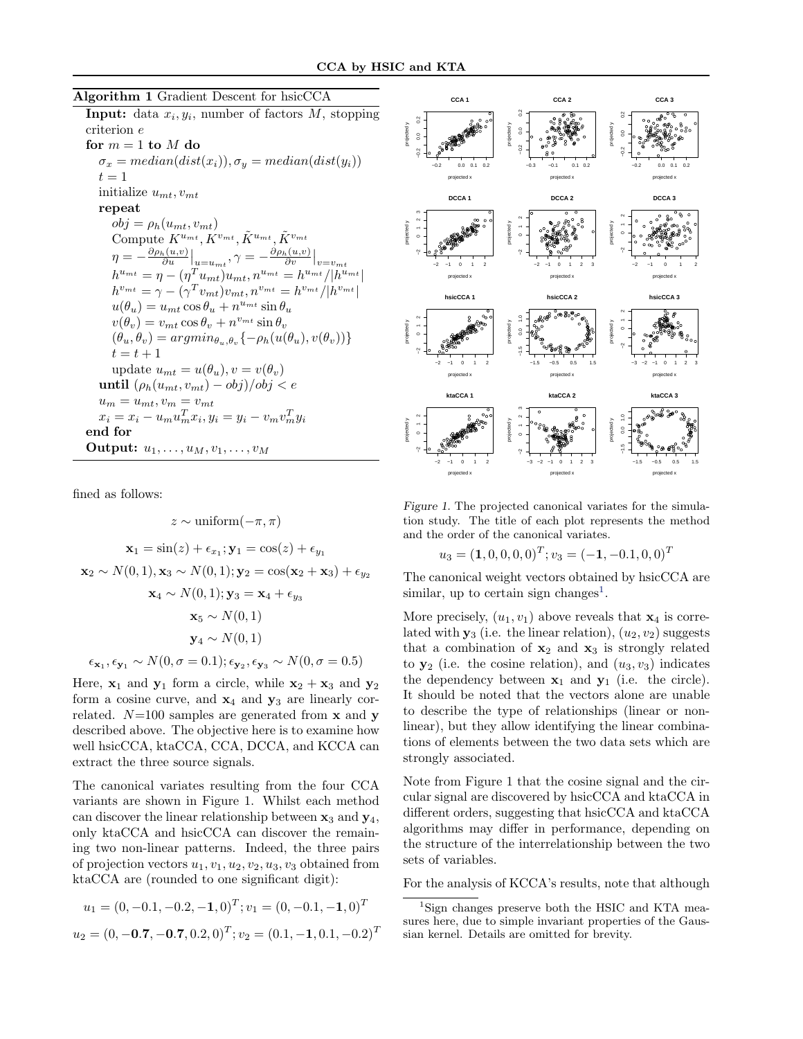#### Algorithm 1 Gradient Descent for hsicCCA

**Input:** data  $x_i, y_i$ , number of factors M, stopping criterion e for  $m = 1$  to  $M$  do

 $\sigma_x = median(dist(x_i)), \sigma_y = median(dist(y_i))$  $t = 1$ initialize  $u_{mt}$ ,  $v_{mt}$ repeat  $obj = \rho_h(u_{mt}, v_{mt})$ Compute  $K^{u_{mt}}, K^{v_{mt}}, \tilde{K}^{u_{mt}}, \tilde{K}^{v_{mt}}$  $\eta = -\frac{\partial \rho_h(u,v)}{\partial u}\Big|_{u=u_{mt}}, \gamma = -\frac{\partial \rho_h(u,v)}{\partial v}\Big|_{v=v_{mt}}$  $h^{u_{mt}} = \eta - (\eta^{T} u_{mt}) u_{mt}, n^{u_{mt}} = h^{u_{mt}} / |h^{u_{mt}}|$  $h^{v_{mt}} = \gamma - (\gamma^T v_{mt})v_{mt}, n^{v_{mt}} = h^{v_{mt}}/|h^{v_{mt}}|$  $u(\theta_u) = u_{mt} \cos \theta_u + n^{u_{mt}} \sin \theta_u$  $v(\theta_v) = v_{mt} \cos \theta_v + n^{v_{mt}} \sin \theta_v$  $(\theta_u, \theta_v) = argmin_{\theta_u, \theta_v} \{-\rho_h(u(\theta_u), v(\theta_v))\}$  $t = t + 1$ update  $u_{mt} = u(\theta_u), v = v(\theta_v)$ until  $(\rho_h(u_{mt}, v_{mt}) - obj)/obj < e$  $u_m = u_{mt}, v_m = v_{mt}$  $x_i = x_i - u_m u_m^T x_i, y_i = y_i - v_m v_m^T y_i$ end for Output:  $u_1, \ldots, u_M, v_1, \ldots, v_M$ 

fined as follows:

$$
z \sim \text{uniform}(-\pi, \pi)
$$
  
\n
$$
\mathbf{x}_1 = \sin(z) + \epsilon_{x_1}; \mathbf{y}_1 = \cos(z) + \epsilon_{y_1}
$$
  
\n
$$
\mathbf{x}_2 \sim N(0, 1), \mathbf{x}_3 \sim N(0, 1); \mathbf{y}_2 = \cos(\mathbf{x}_2 + \mathbf{x}_3) + \epsilon_{y_2}
$$
  
\n
$$
\mathbf{x}_4 \sim N(0, 1); \mathbf{y}_3 = \mathbf{x}_4 + \epsilon_{y_3}
$$
  
\n
$$
\mathbf{x}_5 \sim N(0, 1)
$$
  
\n
$$
\mathbf{y}_4 \sim N(0, 1)
$$
  
\n
$$
\epsilon_{\mathbf{x}_1}, \epsilon_{\mathbf{y}_1} \sim N(0, \sigma = 0.1); \epsilon_{\mathbf{y}_2}, \epsilon_{\mathbf{y}_3} \sim N(0, \sigma = 0.5)
$$

Here,  $x_1$  and  $y_1$  form a circle, while  $x_2 + x_3$  and  $y_2$ form a cosine curve, and  $x_4$  and  $y_3$  are linearly correlated.  $N=100$  samples are generated from **x** and **y** described above. The objective here is to examine how well hsicCCA, ktaCCA, CCA, DCCA, and KCCA can extract the three source signals.

The canonical variates resulting from the four CCA variants are shown in Figure 1. Whilst each method can discover the linear relationship between  $x_3$  and  $y_4$ , only ktaCCA and hsicCCA can discover the remaining two non-linear patterns. Indeed, the three pairs of projection vectors  $u_1, v_1, u_2, v_2, u_3, v_3$  obtained from ktaCCA are (rounded to one significant digit):

$$
u_1 = (0, -0.1, -0.2, -1, 0)^T; v_1 = (0, -0.1, -1, 0)^T
$$

$$
u_2 = (0, -0.7, -0.7, 0.2, 0)^T; v_2 = (0.1, -1, 0.1, -0.2)^T
$$



Figure 1. The projected canonical variates for the simulation study. The title of each plot represents the method and the order of the canonical variates.

$$
u_3 = (1, 0, 0, 0, 0)^T; v_3 = (-1, -0.1, 0, 0)^T
$$

The canonical weight vectors obtained by hsicCCA are similar, up to certain sign changes<sup>1</sup>.

More precisely,  $(u_1, v_1)$  above reveals that  $x_4$  is correlated with  $y_3$  (i.e. the linear relation),  $(u_2, v_2)$  suggests that a combination of  $x_2$  and  $x_3$  is strongly related to  $y_2$  (i.e. the cosine relation), and  $(u_3, v_3)$  indicates the dependency between  $x_1$  and  $y_1$  (i.e. the circle). It should be noted that the vectors alone are unable to describe the type of relationships (linear or nonlinear), but they allow identifying the linear combinations of elements between the two data sets which are strongly associated.

Note from Figure 1 that the cosine signal and the circular signal are discovered by hsicCCA and ktaCCA in different orders, suggesting that hsicCCA and ktaCCA algorithms may differ in performance, depending on the structure of the interrelationship between the two sets of variables.

For the analysis of KCCA's results, note that although

<sup>&</sup>lt;sup>1</sup>Sign changes preserve both the HSIC and KTA measures here, due to simple invariant properties of the Gaussian kernel. Details are omitted for brevity.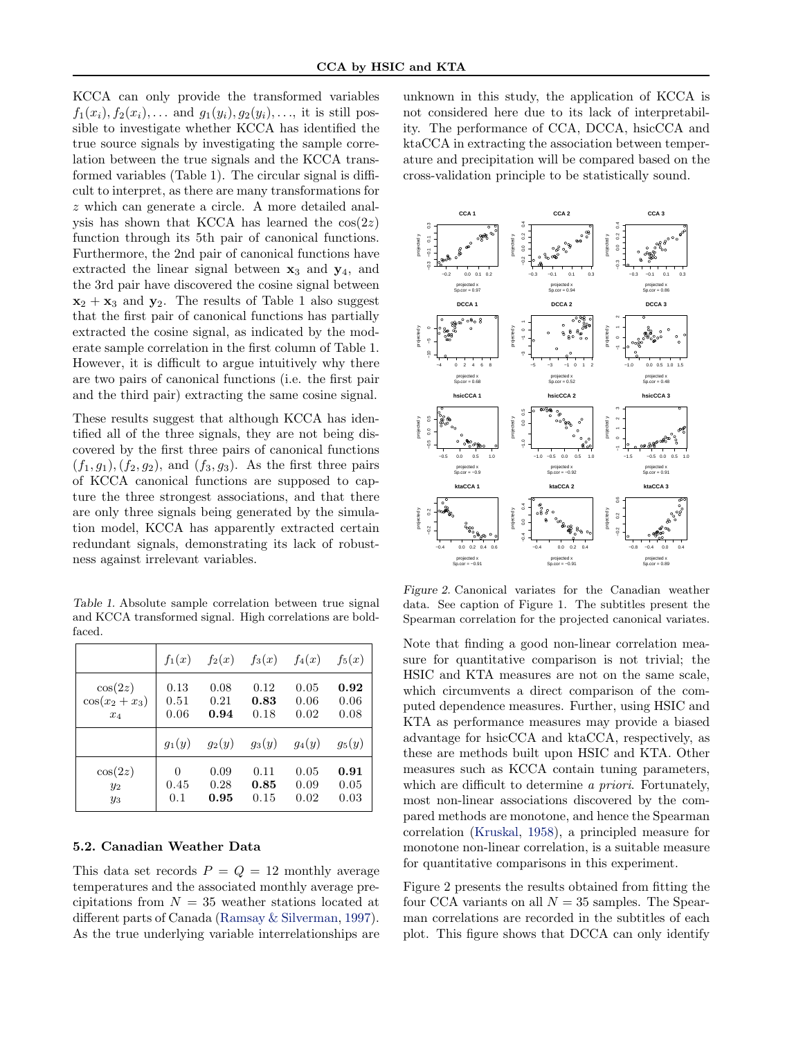KCCA can only provide the transformed variables  $f_1(x_i), f_2(x_i), \ldots$  and  $g_1(y_i), g_2(y_i), \ldots$ , it is still possible to investigate whether KCCA has identified the true source signals by investigating the sample correlation between the true signals and the KCCA transformed variables (Table 1). The circular signal is difficult to interpret, as there are many transformations for z which can generate a circle. A more detailed analysis has shown that KCCA has learned the  $cos(2z)$ function through its 5th pair of canonical functions. Furthermore, the 2nd pair of canonical functions have extracted the linear signal between  $x_3$  and  $y_4$ , and the 3rd pair have discovered the cosine signal between  $x_2 + x_3$  and  $y_2$ . The results of Table 1 also suggest that the first pair of canonical functions has partially extracted the cosine signal, as indicated by the moderate sample correlation in the first column of Table 1. However, it is difficult to argue intuitively why there are two pairs of canonical functions (i.e. the first pair and the third pair) extracting the same cosine signal.

These results suggest that although KCCA has identified all of the three signals, they are not being discovered by the first three pairs of canonical functions  $(f_1, g_1), (f_2, g_2),$  and  $(f_3, g_3)$ . As the first three pairs of KCCA canonical functions are supposed to capture the three strongest associations, and that there are only three signals being generated by the simulation model, KCCA has apparently extracted certain redundant signals, demonstrating its lack of robustness against irrelevant variables.

Table 1. Absolute sample correlation between true signal and KCCA transformed signal. High correlations are boldfaced.

|                 |          |      | $f_1(x)$ $f_2(x)$ $f_3(x)$ $f_4(x)$ |      | $f_5(x)$ |
|-----------------|----------|------|-------------------------------------|------|----------|
| $\cos(2z)$      | 0.13     | 0.08 | 0.12                                | 0.05 | 0.92     |
| $\cos(x_2+x_3)$ | 0.51     | 0.21 | 0.83                                | 0.06 | 0.06     |
| $x_4$           | 0.06     | 0.94 | 0.18                                | 0.02 | 0.08     |
|                 |          |      | $g_1(y)$ $g_2(y)$ $g_3(y)$ $g_4(y)$ |      | $g_5(y)$ |
| $\cos(2z)$      | $\theta$ | 0.09 | 0.11                                | 0.05 | 0.91     |
| $y_2$           | 0.45     | 0.28 | 0.85                                | 0.09 | 0.05     |
| $y_3$           | 0.1      | 0.95 | 0.15                                | 0.02 | 0.03     |

#### 5.2. Canadian Weather Data

This data set records  $P = Q = 12$  monthly average temperatures and the associated monthly average precipitations from  $N = 35$  weather stations located at different parts of Canada [\(Ramsay & Silverman,](#page-8-0) [1997\)](#page-8-0). As the true underlying variable interrelationships are

unknown in this study, the application of KCCA is not considered here due to its lack of interpretability. The performance of CCA, DCCA, hsicCCA and ktaCCA in extracting the association between temperature and precipitation will be compared based on the cross-validation principle to be statistically sound.



Figure 2. Canonical variates for the Canadian weather data. See caption of Figure 1. The subtitles present the Spearman correlation for the projected canonical variates.

Note that finding a good non-linear correlation measure for quantitative comparison is not trivial; the HSIC and KTA measures are not on the same scale, which circumvents a direct comparison of the computed dependence measures. Further, using HSIC and KTA as performance measures may provide a biased advantage for hsicCCA and ktaCCA, respectively, as these are methods built upon HSIC and KTA. Other measures such as KCCA contain tuning parameters, which are difficult to determine a priori. Fortunately, most non-linear associations discovered by the compared methods are monotone, and hence the Spearman correlation [\(Kruskal,](#page-8-0) [1958\)](#page-8-0), a principled measure for monotone non-linear correlation, is a suitable measure for quantitative comparisons in this experiment.

Figure 2 presents the results obtained from fitting the four CCA variants on all  $N = 35$  samples. The Spearman correlations are recorded in the subtitles of each plot. This figure shows that DCCA can only identify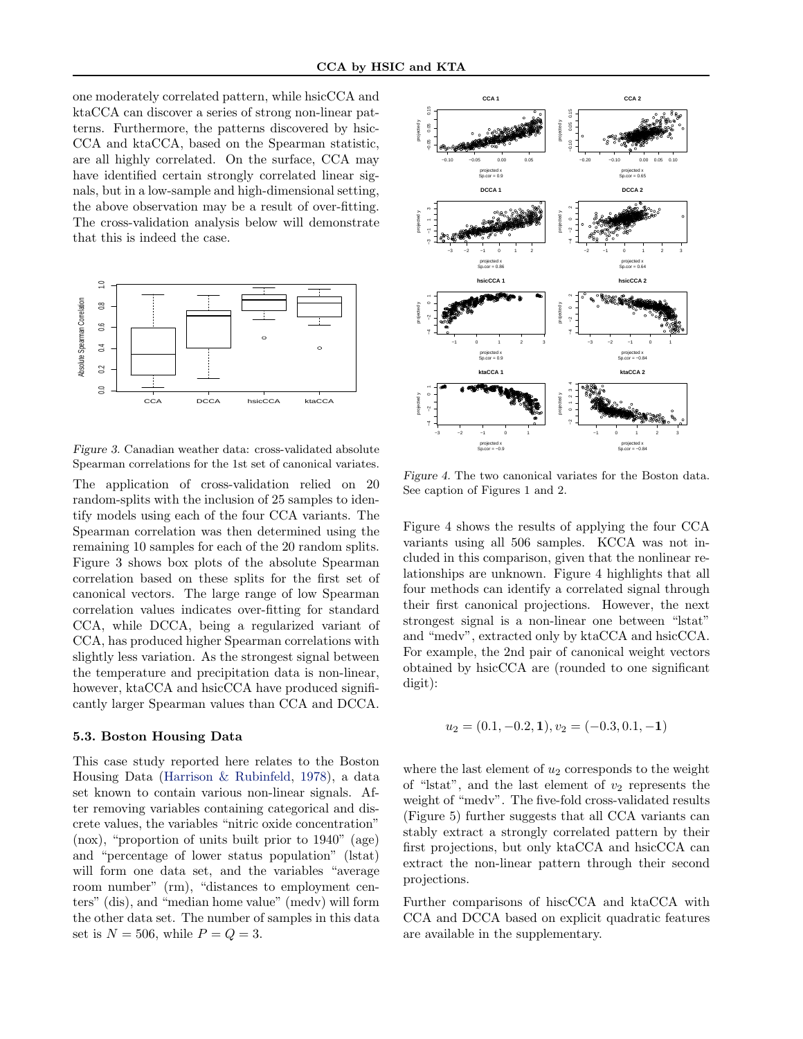one moderately correlated pattern, while hsicCCA and ktaCCA can discover a series of strong non-linear patterns. Furthermore, the patterns discovered by hsic-CCA and ktaCCA, based on the Spearman statistic, are all highly correlated. On the surface, CCA may have identified certain strongly correlated linear signals, but in a low-sample and high-dimensional setting, the above observation may be a result of over-fitting. The cross-validation analysis below will demonstrate that this is indeed the case.



Figure 3. Canadian weather data: cross-validated absolute Spearman correlations for the 1st set of canonical variates.

The application of cross-validation relied on 20 random-splits with the inclusion of 25 samples to identify models using each of the four CCA variants. The Spearman correlation was then determined using the remaining 10 samples for each of the 20 random splits. Figure 3 shows box plots of the absolute Spearman correlation based on these splits for the first set of canonical vectors. The large range of low Spearman correlation values indicates over-fitting for standard CCA, while DCCA, being a regularized variant of CCA, has produced higher Spearman correlations with slightly less variation. As the strongest signal between the temperature and precipitation data is non-linear, however, ktaCCA and hsicCCA have produced significantly larger Spearman values than CCA and DCCA.

#### 5.3. Boston Housing Data

This case study reported here relates to the Boston Housing Data [\(Harrison & Rubinfeld,](#page-8-0) [1978\)](#page-8-0), a data set known to contain various non-linear signals. After removing variables containing categorical and discrete values, the variables "nitric oxide concentration" (nox), "proportion of units built prior to 1940" (age) and "percentage of lower status population" (lstat) will form one data set, and the variables "average room number" (rm), "distances to employment centers" (dis), and "median home value" (medv) will form the other data set. The number of samples in this data set is  $N = 506$ , while  $P = Q = 3$ .



Figure 4. The two canonical variates for the Boston data. See caption of Figures 1 and 2.

Figure 4 shows the results of applying the four CCA variants using all 506 samples. KCCA was not included in this comparison, given that the nonlinear relationships are unknown. Figure 4 highlights that all four methods can identify a correlated signal through their first canonical projections. However, the next strongest signal is a non-linear one between "lstat" and "medv", extracted only by ktaCCA and hsicCCA. For example, the 2nd pair of canonical weight vectors obtained by hsicCCA are (rounded to one significant digit):

$$
u_2 = (0.1, -0.2, 1), v_2 = (-0.3, 0.1, -1)
$$

where the last element of  $u_2$  corresponds to the weight of "lstat", and the last element of  $v_2$  represents the weight of "medv". The five-fold cross-validated results (Figure 5) further suggests that all CCA variants can stably extract a strongly correlated pattern by their first projections, but only ktaCCA and hsicCCA can extract the non-linear pattern through their second projections.

Further comparisons of hiscCCA and ktaCCA with CCA and DCCA based on explicit quadratic features are available in the supplementary.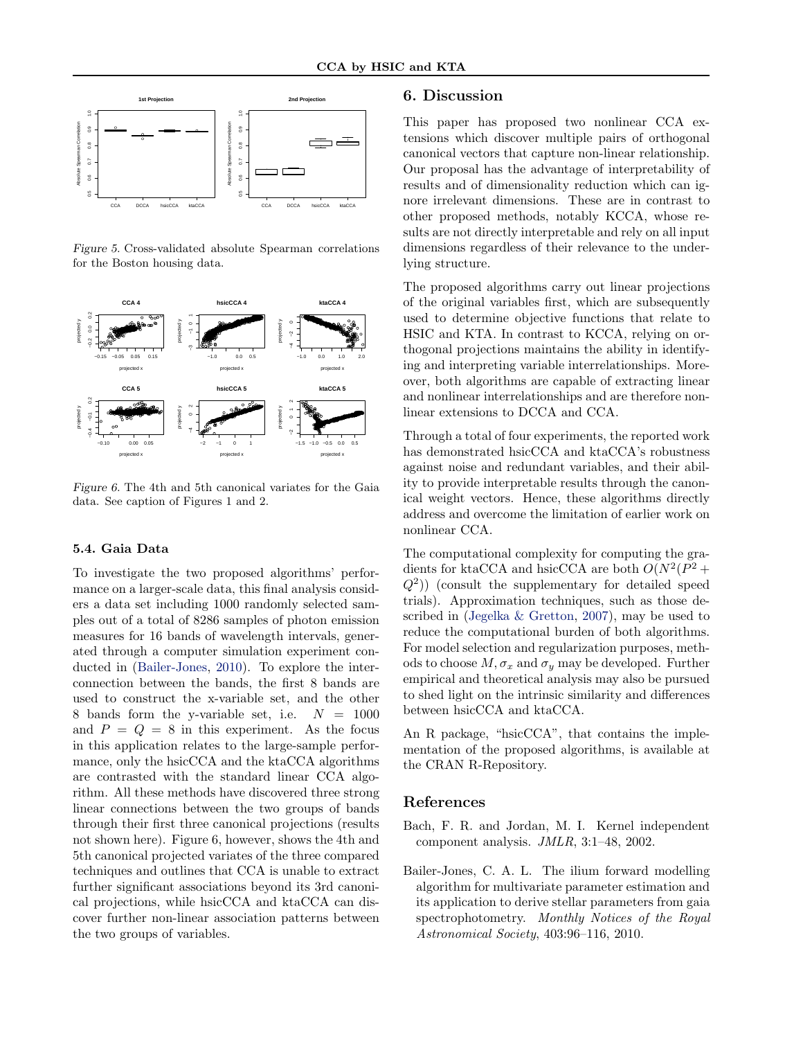<span id="page-7-0"></span>

Figure 5. Cross-validated absolute Spearman correlations for the Boston housing data.



Figure 6. The 4th and 5th canonical variates for the Gaia data. See caption of Figures 1 and 2.

#### 5.4. Gaia Data

To investigate the two proposed algorithms' performance on a larger-scale data, this final analysis considers a data set including 1000 randomly selected samples out of a total of 8286 samples of photon emission measures for 16 bands of wavelength intervals, generated through a computer simulation experiment conducted in (Bailer-Jones, 2010). To explore the interconnection between the bands, the first 8 bands are used to construct the x-variable set, and the other 8 bands form the y-variable set, i.e.  $N = 1000$ and  $P = Q = 8$  in this experiment. As the focus in this application relates to the large-sample performance, only the hsicCCA and the ktaCCA algorithms are contrasted with the standard linear CCA algorithm. All these methods have discovered three strong linear connections between the two groups of bands through their first three canonical projections (results not shown here). Figure 6, however, shows the 4th and 5th canonical projected variates of the three compared techniques and outlines that CCA is unable to extract further significant associations beyond its 3rd canonical projections, while hsicCCA and ktaCCA can discover further non-linear association patterns between the two groups of variables.

#### 6. Discussion

This paper has proposed two nonlinear CCA extensions which discover multiple pairs of orthogonal canonical vectors that capture non-linear relationship. Our proposal has the advantage of interpretability of results and of dimensionality reduction which can ignore irrelevant dimensions. These are in contrast to other proposed methods, notably KCCA, whose results are not directly interpretable and rely on all input dimensions regardless of their relevance to the underlying structure.

The proposed algorithms carry out linear projections of the original variables first, which are subsequently used to determine objective functions that relate to HSIC and KTA. In contrast to KCCA, relying on orthogonal projections maintains the ability in identifying and interpreting variable interrelationships. Moreover, both algorithms are capable of extracting linear and nonlinear interrelationships and are therefore nonlinear extensions to DCCA and CCA.

Through a total of four experiments, the reported work has demonstrated hsicCCA and ktaCCA's robustness against noise and redundant variables, and their ability to provide interpretable results through the canonical weight vectors. Hence, these algorithms directly address and overcome the limitation of earlier work on nonlinear CCA.

The computational complexity for computing the gradients for ktaCCA and hsicCCA are both  $O(N^2(P^2 +$  $(Q<sup>2</sup>)$ ) (consult the supplementary for detailed speed trials). Approximation techniques, such as those described in [\(Jegelka & Gretton,](#page-8-0) [2007\)](#page-8-0), may be used to reduce the computational burden of both algorithms. For model selection and regularization purposes, methods to choose  $M, \sigma_x$  and  $\sigma_y$  may be developed. Further empirical and theoretical analysis may also be pursued to shed light on the intrinsic similarity and differences between hsicCCA and ktaCCA.

An R package, "hsicCCA", that contains the implementation of the proposed algorithms, is available at the CRAN R-Repository.

#### References

Bach, F. R. and Jordan, M. I. Kernel independent component analysis. JMLR, 3:1–48, 2002.

Bailer-Jones, C. A. L. The ilium forward modelling algorithm for multivariate parameter estimation and its application to derive stellar parameters from gaia spectrophotometry. Monthly Notices of the Royal Astronomical Society, 403:96–116, 2010.